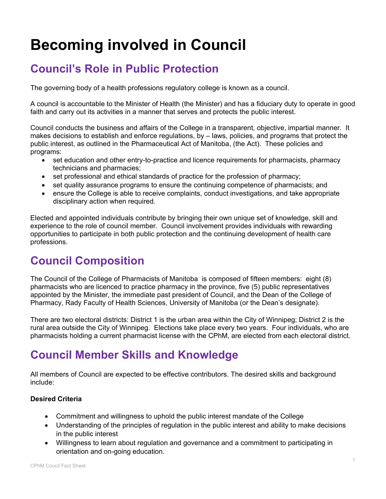# **Becoming involved in Council**

# **Council's Role in Public Protection**

The governing body of a health professions regulatory college is known as a council.

A council is accountable to the Minister of Health (the Minister) and has a fiduciary duty to operate in good faith and carry out its activities in a manner that serves and protects the public interest.

Council conducts the business and affairs of the College in a transparent, objective, impartial manner. It makes decisions to establish and enforce regulations, by – laws, policies, and programs that protect the public interest, as outlined in the Pharmaceutical Act of Manitoba, (the Act). These policies and programs:

- set education and other entry-to-practice and licence requirements for pharmacists, pharmacy technicians and pharmacies;
- set professional and ethical standards of practice for the profession of pharmacy;
- set quality assurance programs to ensure the continuing competence of pharmacists; and
- ensure the College is able to receive complaints, conduct investigations, and take appropriate disciplinary action when required.

Elected and appointed individuals contribute by bringing their own unique set of knowledge, skill and experience to the role of council member. Council involvement provides individuals with rewarding opportunities to participate in both public protection and the continuing development of health care professions.

### **Council Composition**

The Council of the College of Pharmacists of Manitoba is composed of fifteen members: eight (8) pharmacists who are licenced to practice pharmacy in the province, five (5) public representatives appointed by the Minister, the immediate past president of Council, and the Dean of the College of Pharmacy, Rady Faculty of Health Sciences, University of Manitoba (or the Dean's designate).

There are two electoral districts: District 1 is the urban area within the City of Winnipeg; District 2 is the rural area outside the City of Winnipeg. Elections take place every two years. Four individuals, who are pharmacists holding a current pharmacist license with the CPhM, are elected from each electoral district.

### **Council Member Skills and Knowledge**

All members of Council are expected to be effective contributors. The desired skills and background include:

#### **Desired Criteria**

- Commitment and willingness to uphold the public interest mandate of the College
- Understanding of the principles of regulation in the public interest and ability to make decisions in the public interest
- Willingness to learn about regulation and governance and a commitment to participating in orientation and on-going education.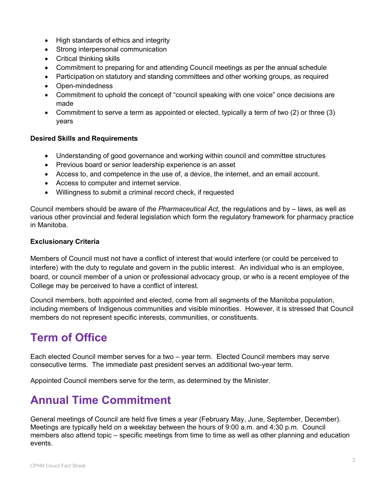- High standards of ethics and integrity
- Strong interpersonal communication
- Critical thinking skills
- Commitment to preparing for and attending Council meetings as per the annual schedule
- Participation on statutory and standing committees and other working groups, as required
- Open-mindedness
- Commitment to uphold the concept of "council speaking with one voice" once decisions are made
- Commitment to serve a term as appointed or elected, typically a term of two (2) or three (3) years

#### **Desired Skills and Requirements**

- Understanding of good governance and working within council and committee structures
- Previous board or senior leadership experience is an asset
- Access to, and competence in the use of, a device, the internet, and an email account.
- Access to computer and internet service.
- Willingness to submit a criminal record check, if requested

Council members should be aware of *the Pharmaceutical Act*, the regulations and by – laws, as well as various other provincial and federal legislation which form the regulatory framework for pharmacy practice in Manitoba.

#### **Exclusionary Criteria**

Members of Council must not have a conflict of interest that would interfere (or could be perceived to interfere) with the duty to regulate and govern in the public interest. An individual who is an employee, board, or council member of a union or professional advocacy group, or who is a recent employee of the College may be perceived to have a conflict of interest.

Council members, both appointed and elected, come from all segments of the Manitoba population, including members of Indigenous communities and visible minorities. However, it is stressed that Council members do not represent specific interests, communities, or constituents.

### **Term of Office**

Each elected Council member serves for a two – year term. Elected Council members may serve consecutive terms. The immediate past president serves an additional two-year term.

Appointed Council members serve for the term, as determined by the Minister.

### **Annual Time Commitment**

General meetings of Council are held five times a year (February May, June, September, December). Meetings are typically held on a weekday between the hours of 9:00 a.m. and 4:30 p.m. Council members also attend topic – specific meetings from time to time as well as other planning and education events.